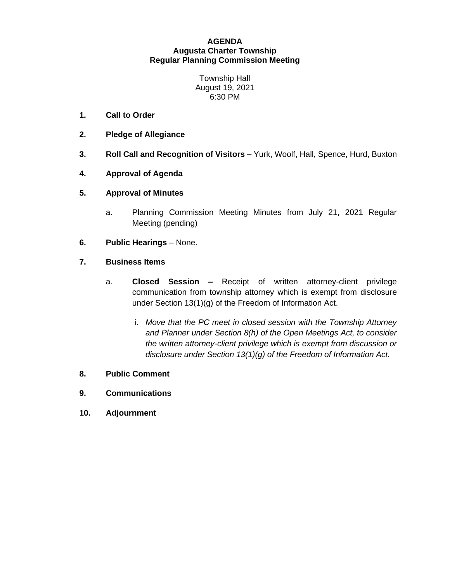## **AGENDA Augusta Charter Township Regular Planning Commission Meeting**

Township Hall August 19, 2021 6:30 PM

- **1. Call to Order**
- **2. Pledge of Allegiance**
- **3. Roll Call and Recognition of Visitors –** Yurk, Woolf, Hall, Spence, Hurd, Buxton
- **4. Approval of Agenda**
- **5. Approval of Minutes**
	- a. Planning Commission Meeting Minutes from July 21, 2021 Regular Meeting (pending)
- **6. Public Hearings** None.
- **7. Business Items**
	- a. **Closed Session –** Receipt of written attorney-client privilege communication from township attorney which is exempt from disclosure under Section 13(1)(g) of the Freedom of Information Act.
		- i. *Move that the PC meet in closed session with the Township Attorney and Planner under Section 8(h) of the Open Meetings Act, to consider the written attorney-client privilege which is exempt from discussion or disclosure under Section 13(1)(g) of the Freedom of Information Act.*
- **8. Public Comment**
- **9. Communications**
- **10. Adjournment**